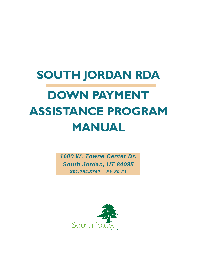# **SOUTH JORDAN RDA DOWN PAYMENT ASSISTANCE PROGRAM MANUAL**

*1600 W. Towne Center Dr. South Jordan, UT 84095 801.254.3742 FY 20-21*

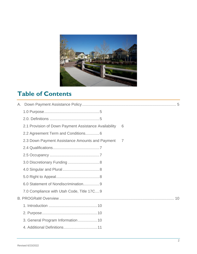

# **Table of Contents**

| 2.1 Provision of Down Payment Assistance Availability | 6 |  |
|-------------------------------------------------------|---|--|
| 2.2 Agreement Term and Conditions6                    |   |  |
| 2.3 Down Payment Assistance Amounts and Payment       | 7 |  |
|                                                       |   |  |
|                                                       |   |  |
| 3.0 Discretionary Funding  8                          |   |  |
|                                                       |   |  |
|                                                       |   |  |
| 6.0 Statement of Nondiscrimination9                   |   |  |
| 7.0 Compliance with Utah Code, Title 17C9             |   |  |
|                                                       |   |  |
|                                                       |   |  |
|                                                       |   |  |
| 3. General Program Information 10                     |   |  |
|                                                       |   |  |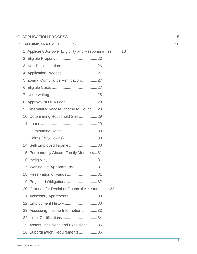| D. |                                                              |  |
|----|--------------------------------------------------------------|--|
|    | 1. Applicant/Borrower Eligibility and Responsibilities<br>18 |  |
|    |                                                              |  |
|    |                                                              |  |
|    |                                                              |  |
|    | 5. Zoning Compliance Verification27                          |  |
|    |                                                              |  |
|    |                                                              |  |
|    |                                                              |  |
|    | 9. Determining Whose Income to Count28                       |  |
|    | 10. Determining Household Size29                             |  |
|    |                                                              |  |
|    |                                                              |  |
|    | 13. Points (Buy-Downs)30                                     |  |
|    | 14. Self-Employed Income 30                                  |  |
|    | 15. Permanently Absent Family Members31                      |  |
|    |                                                              |  |
|    | 17. Waiting List/Applicant Pool31                            |  |
|    | 18. Reservation of Funds 31                                  |  |
|    | 19. Projected Obligations 32                                 |  |
|    | 20. Grounds for Denial of Financial Assistance<br>32         |  |
|    | 21. Accessory Apartments 33                                  |  |
|    | 22. Employment History 33                                    |  |
|    | 23. Assessing Income Information 33                          |  |
|    |                                                              |  |
|    | 25. Assets, Inclusions and Exclusions35                      |  |
|    | 26. Subordination Requirements36                             |  |
|    |                                                              |  |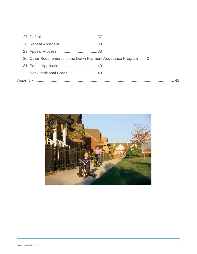| 30. Other Requirements to the Down Payment Assistance Program | - 40 |
|---------------------------------------------------------------|------|
|                                                               |      |
|                                                               |      |
|                                                               |      |

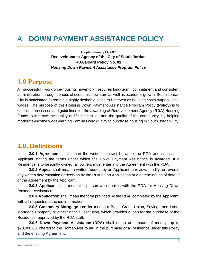# <span id="page-4-0"></span>A. **DOWN PAYMENT ASSISTANCE POLICY**

**Adopted January 21, 2020 Redevelopment Agency of the City of South Jordan RDA Board Policy No. 01** *Housing Down Payment Assistance Program Policy*

#### <span id="page-4-1"></span>**1.0 Purpose**

A successful workforce-housing inventory requires long-term commitment and consistent administration through periods of economic downturn as well as economic growth. South Jordan City is anticipated to remain a highly desirable place to live even as housing costs outpace local wages. The purpose of this Housing Down Payment Assistance Program Policy (**Policy**) is to establish processes and guidelines for the awarding of Redevelopment Agency (**RDA**) Housing Funds to improve the quality of life for families and the quality of the community, by helping moderate-income wage-earning Families who qualify to purchase housing in South Jordan City.

### <span id="page-4-2"></span>**2.0. Definitions**

**2.0.1 Agreement** shall mean the written contract between the RDA and successful Applicant stating the terms under which the Down Payment Assistance is awarded. If a Residence is to be jointly owned, all owners must enter into the Agreement with the RDA;

**2.0.2 Appeal** shall mean a written request by an Applicant to review, modify, or reverse any written determination or decision by the RDA on an Application or a determination of default of the Agreement by the Applicant;

**2.0.3 Applicant** shall mean the person who applies with the RDA for Housing Down Payment Assistance;

**2.0.4 Application** shall mean the form provided by the RDA, completed by the Applicant, with all requested attached information;

**2.0.5 Customary Mortgage Lender** means a Bank, Credit Union, Savings and Loan, Mortgage Company or other financial institution, which provides a loan for the purchase of the Residence, approved by the RDA staff;

**2.0.6 Down Payment Assistance (DPA)** shall mean an amount of money, up to \$20,000.00, offered to the Homebuyer to aid in the purchase of a Residence under this Policy and the ensuing Agreement;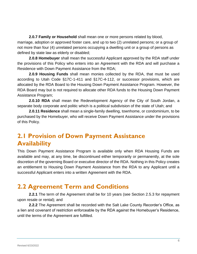**2.0.7 Family or Household** shall mean one or more persons related by blood, marriage, adoption or approved foster care, and up to two (2) unrelated persons; or a group of not more than four (4) unrelated persons occupying a dwelling unit or a group of persons as defined by state law as elderly or disabled;

**2.0.8 Homebuyer** shall mean the successful Applicant approved by the RDA staff under the provisions of this Policy who enters into an Agreement with the RDA and will purchase a Residence with Down Payment Assistance from the RDA;

**2.0.9 Housing Funds** shall mean monies collected by the RDA, that must be used according to Utah Code §17C-1-411 and §17C-4-112, or successor provisions, which are allocated by the RDA Board to the Housing Down Payment Assistance Program. However, the RDA Board may but is not required to allocate other RDA funds to the Housing Down Payment Assistance Program;

**2.0.10 RDA** shall mean the Redevelopment Agency of the City of South Jordan, a separate body corporate and politic which is a political subdivision of the state of Utah; and

**2.0.11 Residence** shall mean a single-family dwelling, townhome, or condominium, to be purchased by the Homebuyer, who will receive Down Payment Assistance under the provisions of this Policy.

### <span id="page-5-0"></span>**2.1 Provision of Down Payment Assistance Availability**

This Down Payment Assistance Program is available only when RDA Housing Funds are available and may, at any time, be discontinued either temporarily or permanently, at the sole discretion of the governing Board or executive director of the RDA. Nothing in this Policy creates an entitlement to Housing Down Payment Assistance from the RDA to any Applicant until a successful Applicant enters into a written Agreement with the RDA.

### <span id="page-5-1"></span>**2.2 Agreement Term and Conditions**

**2.2.1** The term of the Agreement shall be for 10 years (see Section 2.5.3 for repayment upon resale or rental); and

**2.2.2** The Agreement shall be recorded with the Salt Lake County Recorder's Office, as a lien and covenant of restriction enforceable by the RDA against the Homebuyer's Residence, until the terms of the Agreement are fulfilled.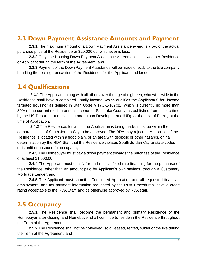### <span id="page-6-0"></span>**2.3 Down Payment Assistance Amounts and Payment**

**2.3.1** The maximum amount of a Down Payment Assistance award is 7.5% of the actual purchase price of the Residence or \$20,000.00, whichever is less;

**2.3.2** Only one Housing Down Payment Assistance Agreement is allowed per Residence or Applicant during the term of the Agreement; and

**2.3.3** Payment of the Down Payment Assistance will be made directly to the title company handling the closing transaction of the Residence for the Applicant and lender.

#### <span id="page-6-1"></span>**2.4 Qualifications**

**2.4.1** The Applicant, along with all others over the age of eighteen, who will reside in the Residence shall have a combined Family-income, which qualifies the Applicant(s) for "income targeted housing" as defined in Utah Code § 17C-1-102(32) which is currently no more than 80% of the current median annual income for Salt Lake County, as published from time to time by the US Department of Housing and Urban Development (HUD) for the size of Family at the time of Application;

**2.4.2** The Residence, for which the Application is being made, must be within the corporate limits of South Jordan City to be approved. The RDA may reject an Application if the Residence is located within a flood plain, or an area with geologic or other hazards, or if a determination by the RDA Staff that the Residence violates South Jordan City or state codes or is unfit or unsound for occupancy;

**2.4.3** The Homebuyer must pay a down payment towards the purchase of the Residence of at least \$1,000.00;

**2.4.4** The Applicant must qualify for and receive fixed-rate financing for the purchase of the Residence, other than an amount paid by Applicant's own savings, through a Customary Mortgage Lender; and

**2.4.5** The Applicant must submit a Completed Application and all requested financial, employment, and tax payment information requested by the RDA Procedures, have a credit rating acceptable to the RDA Staff, and be otherwise approved by RDA staff.

### <span id="page-6-2"></span>**2.5 Occupancy**

**2.5.1** The Residence shall become the permanent and primary Residence of the Homebuyer after closing, and Homebuyer shall continue to reside in the Residence throughout the Term of the Agreement;

**2.5.2** The Residence shall not be conveyed, sold, leased, rented, sublet or the like during the Term of the Agreement; and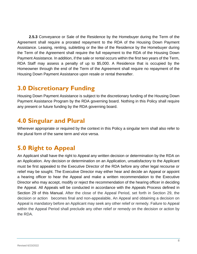**2.5.3** Conveyance or Sale of the Residence by the Homebuyer during the Term of the Agreement shall require a prorated repayment to the RDA of the Housing Down Payment Assistance. Leasing, renting, subletting or the like of the Residence by the Homebuyer during the Term of the Agreement shall require the full repayment to the RDA of the Housing Down Payment Assistance. In addition, if the sale or rental occurs within the first two years of the Term, RDA Staff may assess a penalty of up to \$5,000. A Residence that is occupied by the Homeowner through the end of the Term of the Agreement shall require no repayment of the Housing Down Payment Assistance upon resale or rental thereafter.

### <span id="page-7-0"></span>**3.0 Discretionary Funding**

Housing Down Payment Assistance is subject to the discretionary funding of the Housing Down Payment Assistance Program by the RDA governing board. Nothing in this Policy shall require any present or future funding by the RDA governing board.

#### <span id="page-7-1"></span>**4.0 Singular and Plural**

Wherever appropriate or required by the context in this Policy a singular term shall also refer to the plural form of the same term and vice versa.

### <span id="page-7-2"></span>**5.0 Right to Appeal**

An Applicant shall have the right to Appeal any written decision or determination by the RDA on an Application. Any decision or determination on an Application, unsatisfactory to the Applicant must be first appealed to the Executive Director of the RDA before any other legal recourse or relief may be sought. The Executive Director may either hear and decide an Appeal or appoint a hearing officer to hear the Appeal and make a written recommendation to the Executive Director who may accept, modify or reject the recommendation of the hearing officer in deciding the Appeal. All Appeals will be conducted in accordance with the Appeals Process defined in Section 29 of this Manual. After the close of the Appeal Period, set forth in Section 29, the decision or action becomes final and non-appealable, An Appeal and obtaining a decision on Appeal is mandatory before an Applicant may seek any other relief or remedy. Failure to Appeal within the Appeal Period shall preclude any other relief or remedy on the decision or action by the RDA.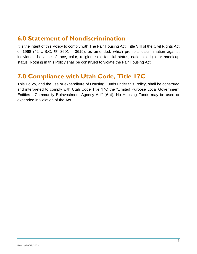### <span id="page-8-0"></span>**6.0 Statement of Nondiscrimination**

It is the intent of this Policy to comply with The Fair Housing Act, Title VIII of the Civil Rights Act of 1968 (42 U.S.C. §§ 3601 – 3619), as amended, which prohibits discrimination against individuals because of race, color, religion, sex, familial status, national origin, or handicap status. Nothing in this Policy shall be construed to violate the Fair Housing Act.

### <span id="page-8-1"></span>**7.0 Compliance with Utah Code, Title 17C**

This Policy, and the use or expenditure of Housing Funds under this Policy, shall be construed and interpreted to comply with Utah Code Title 17C the "Limited Purpose Local Government Entities - Community Reinvestment Agency Act" (**Act**). No Housing Funds may be used or expended in violation of the Act.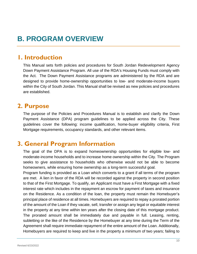# <span id="page-9-0"></span>**B. PROGRAM OVERVIEW**

#### <span id="page-9-1"></span>**1. Introduction**

This Manual sets forth policies and procedures for South Jordan Redevelopment Agency Down Payment Assistance Program. All use of the RDA's Housing Funds must comply with the Act. The Down Payment Assistance programs are administered by the RDA and are designed to provide home-ownership opportunities to low- and moderate-income buyers within the City of South Jordan. This Manual shall be revised as new policies and procedures are established.

#### <span id="page-9-2"></span>**2. Purpose**

The purpose of the Policies and Procedures Manual is to establish and clarify the Down Payment Assistance (DPA) program guidelines to be applied across the City. These guidelines cover the following: income qualification, home-buyer eligibility criteria, First Mortgage requirements, occupancy standards, and other relevant items.

### <span id="page-9-3"></span>**3. General Program Information**

The goal of the DPA is to expand homeownership opportunities for eligible low- and moderate-income households and to increase home ownership within the City. The Program seeks to give assistance to households who otherwise would not be able to become homeowners, while ensuring home ownership as a long-term successful goal.

Program funding is provided as a Loan which converts to a grant if all terms of the program are met. A lien in favor of the RDA will be recorded against the property in second position to that of the First Mortgage. To qualify, an Applicant must have a First Mortgage with a fixed interest rate which includes in the repayment an escrow for payment of taxes and insurance on the Residence. As a condition of the loan, the property must remain the Homebuyer's principal place of residence at all times. Homebuyers are required to repay a prorated portion of the amount of the Loan if they vacate, sell, transfer or assign any legal or equitable interest in the property at any time within ten years after the closing date of this mortgage product. The prorated amount shall be immediately due and payable in full. Leasing, renting, subletting or the like of the Residence by the Homebuyer at any time during the Term of the Agreement shall require immediate repayment of the entire amount of the Loan. Additionally, Homebuyers are required to keep and live in the property a minimum of two years; failing to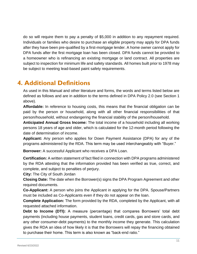do so will require them to pay a penalty of \$5,000 in addition to any repayment required. Individuals or families who desire to purchase an eligible property may apply for DPA funds after they have been pre-qualified by a first-mortgage lender. A home owner cannot apply for DPA funds after the first mortgage loan has been closed. DPA funds cannot be provided to a homeowner who is refinancing an existing mortgage or land contract. All properties are subject to inspection for minimum life and safety standards. All homes built prior to 1978 may be subject to meeting lead-based paint safety requirements.

### <span id="page-10-0"></span>**4. Additional Definitions**

As used in this Manual and other literature and forms, the words and terms listed below are defined as follows and are in addition to the terms defined in DPA Policy 2.0 (see Section 1 above).

**Affordable:** In reference to housing costs, this means that the financial obligation can be paid by the person or household, along with all other financial responsibilities of that person/household, without endangering the financial stability of the person/household.

**Anticipated Annual Gross Income:** The total income of a household including all working persons 18 years of age and older, which is calculated for the 12-month period following the date of determination of income.

**Applicant:** Any person who applies for Down Payment Assistance (DPA) for any of the programs administered by the RDA. This term may be used interchangeably with "Buyer."

**Borrower:** A successful Applicant who receives a DPA Loan.

**Certification:** A written statement of fact filed in connection with DPA programs administered by the RDA attesting that the information provided has been verified as true, correct, and complete, and subject to penalties of perjury.

**City:** The City of South Jordan

**Closing Date:** The date when the Borrower(s) signs the DPA Program Agreement and other required documents.

**Co-Applicant:** A person who joins the Applicant in applying for the DPA. Spouse/Partners must be included as Co-Applicants even if they do not appear on the loan.

**Complete Application:** The form provided by the RDA, completed by the Applicant, with all requested attached information.

**Debt to Income (DTI):** A measure (percentage) that compares Borrowers' total debt payments (including house payments, student loans, credit cards, gas and store cards, and any other consumer-debt payments) to the monthly income they generate. This calculation gives the RDA an idea of how likely it is that the Borrowers will repay the financing obtained to purchase their home. This term is also known as "back-end ratio."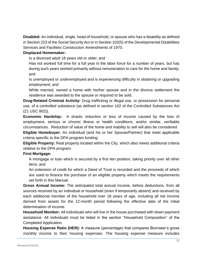**Disabled:** An individual, single, head of household, or spouse who has a disability as defined in Section 223 of the Social Security Act or in Section 102(5) of the Developmental Disabilities Services and Facilities Construction Amendments of 1970.

#### **Displaced Homemaker:**

Is a divorced adult 18 years old or older; and

Has not worked full time for a full year in the labor force for a number of years, but has during such years worked primarily without remuneration to care for the home and family; and

Is unemployed or underemployed and is experiencing difficulty in obtaining or upgrading employment; and

While married, owned a home with his/her spouse and in the divorce settlement the residence was awarded to the spouse or required to be sold.

**Drug-Related Criminal Activity:** Drug trafficking or illegal use, or possession for personal use, of a controlled substance (as defined in section 102 of the Controlled Substances Act (21 USC 802)).

**Economic Hardship:** A drastic reduction or loss of income caused by the loss of employment, serious or chronic illness or health conditions, and/or similar, verifiable circumstances. Reduction of value of the home and inability to sell will also be considered.

**Eligible Homebuyer:** An individual (and his or her Spouse/Partner) that meet applicable criteria specific to the DPA program funding.

**Eligible Property:** Real property located within the City, which also meets additional criteria relative to the DPA program.

#### **First Mortgage:**

A mortgage or loan which is secured by a first lien position, taking priority over all other liens; and

An extension of credit for which a Deed of Trust is recorded and the proceeds of which are used to finance the purchase of an eligible property which meets the requirements set forth in this Manual.

**Gross Annual Income:** The anticipated total annual income, before deductions, from all sources received by an individual or household (even if temporarily absent) and received by each additional member of the household over 18 years of age, including all net income derived from assets for the 12-month period following the effective date of the initial determination of income.

**Household Member:** All individuals who will live in the house purchased with down payment assistance. All individuals must be listed in the section "Household Composition" of the Completed Application.

**Housing Expense Ratio (HER):** A measure (percentage) that compares Borrower's gross monthly income to their housing expenses. The housing expense measure includes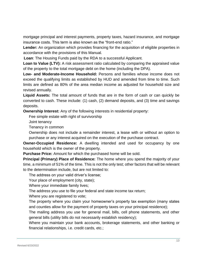mortgage principal and interest payments, property taxes, hazard insurance, and mortgage insurance costs. This term is also known as the "front-end ratio."

**Lender:** An organization which provides financing for the acquisition of eligible properties in accordance with the provisions of this Manual.

**Loan**: The Housing Funds paid by the RDA to a successful Applicant.

**Loan to Value (LTV):** A risk assessment ratio calculated by comparing the appraised value of the property to the total mortgage debt on the home (including the DPA).

**Low- and Moderate-Income Household:** Persons and families whose income does not exceed the qualifying limits as established by HUD and amended from time to time. Such limits are defined as 80% of the area median income as adjusted for household size and revised annually.

**Liquid Assets:** The total amount of funds that are in the form of cash or can quickly be converted to cash. These include: (1) cash, (2) demand deposits, and (3) time and savings deposits.

**Ownership Interest:** Any of the following interests in residential property:

Fee simple estate with right of survivorship

Joint tenancy

Tenancy in common

Ownership does not include a remainder interest, a lease with or without an option to purchase or any interest acquired on the execution of the purchase contract.

**Owner-Occupied Residence:** A dwelling intended and used for occupancy by one household which is the owner of the property.

**Purchase Price:** Amount for which the purchased home will be sold.

**Principal (Primary) Place of Residence:** The home where you spend the majority of your time, a minimum of 51% of the time. This is not the only test; other factors that will be relevant to the determination include, but are not limited to:

The address on your valid driver's license;

Your place of employment (city, state);

Where your immediate family lives;

The address you use to file your federal and state income tax return;

Where you are registered to vote;

The property where you claim your homeowner's property tax exemption (many states and counties allow for the payment of property taxes on your principal residence);

The mailing address you use for general mail, bills, cell phone statements, and other general bills (utility bills do not necessarily establish residency);

Where you maintain your bank accounts, brokerage statements, and other banking or financial relationships, i.e. credit cards, etc.;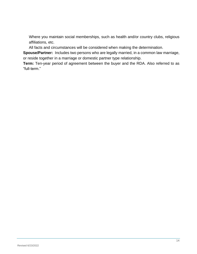Where you maintain social memberships, such as health and/or country clubs, religious affiliations, etc.

All facts and circumstances will be considered when making the determination.

**Spouse/Partner:** Includes two persons who are legally married, in a common law marriage, or reside together in a marriage or domestic partner type relationship.

**Term:** Ten-year period of agreement between the buyer and the RDA. Also referred to as "full-term."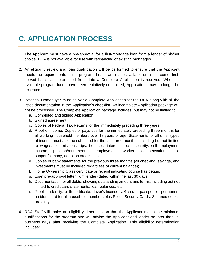# <span id="page-14-0"></span>**C. APPLICATION PROCESS**

- 1. The Applicant must have a pre-approval for a first-mortgage loan from a lender of his/her choice. DPA is not available for use with refinancing of existing mortgages.
- 2. An eligibility review and loan qualification will be performed to ensure that the Applicant meets the requirements of the program. Loans are made available on a first-come, firstserved basis, as determined from date a Complete Application is received. When all available program funds have been tentatively committed, Applications may no longer be accepted.
- 3. Potential Homebuyer must deliver a Complete Application for the DPA along with all the listed documentation in the Application's checklist. An incomplete Application package will not be processed. The Complete Application package includes, but may not be limited to:
	- a. Completed and signed Application;
	- b. Signed agreement;
	- c. Copies of Federal Tax Returns for the immediately preceding three years;
	- d. Proof of income: Copies of paystubs for the immediately preceding three months for all working household members over 18 years of age. Statements for all other types of income must also be submitted for the last three months, including but not limited to wages, commissions, tips, bonuses, interest, social security, self-employment income, pension/retirement, unemployment, workers compensation, child support/alimony, adoption credits, etc.
	- e. Copies of bank statements for the previous three months (all checking, savings, and investments must be included regardless of current balance);
	- f. Home Ownership Class certificate or receipt indicating course has begun;
	- g. Loan pre-approval letter from lender (dated within the last 30 days);
	- h. Documentation for all debts, showing outstanding amount and terms, including but not limited to credit card statements, loan balances, etc.;
	- i. Proof of identity: birth certificate, driver's license, US-issued passport or permanent resident card for all household members plus Social Security Cards. Scanned copies are okay.
- 4. RDA Staff will make an eligibility determination that the Applicant meets the minimum qualifications for the program and will advise the Applicant and lender no later than 15 business days after receiving the Complete Application. This eligibility determination includes: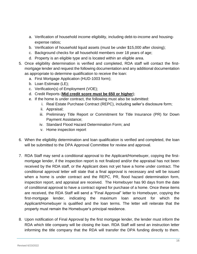- a. Verification of household income eligibility, including debt-to-income and housingexpense ratios;
- b. Verification of household liquid assets (must be under \$15,000 after closing);
- c. Background checks for all household members over 18 years of age;
- d. Property is an eligible type and is located within an eligible area.
- 5. Once eligibility determination is verified and completed, RDA staff will contact the firstmortgage lender and request the following documentation and any additional documentation as appropriate to determine qualification to receive the loan:
	- a. First Mortgage Application (HUD-1003 form);
	- b. Loan Estimate (LE);
	- c. Verification(s) of Employment (VOE);
	- d. Credit Reports (**Mid credit score must be 650 or higher**);
	- e. If the home is under contract, the following must also be submitted:
		- i. Real Estate Purchase Contract (REPC), including seller's disclosure form;
		- ii. Appraisal;
		- iii. Preliminary Title Report or Commitment for Title Insurance (PR) for Down Payment Assistance;
		- iv. Standard Flood Hazard Determination Form; and
		- v. Home inspection report
- 6. When the eligibility determination and loan qualification is verified and completed, the loan will be submitted to the DPA Approval Committee for review and approval.
- 7. RDA Staff may send a conditional approval to the Applicant/Homebuyer, copying the firstmortgage lender, if the inspection report is not finalized and/or the appraisal has not been received by the RDA staff, or the Applicant does not yet have a home under contract. The conditional approval letter will state that a final approval is necessary and will be issued when a home is under contract and the REPC, PR, flood hazard determination form, inspection report, and appraisal are received. The Homebuyer has 90 days from the date of conditional approval to have a contract signed for purchase of a home. Once these items are received, the RDA Staff will send a "Final Approval" letter to Homebuyer, copying the first-mortgage lender, indicating the maximum loan amount for which the Applicant/Homebuyer is qualified and the loan terms. The letter will reiterate that the property must remain the Homebuyer's principal residence.
- 8. Upon notification of Final Approval by the first mortgage lender, the lender must inform the RDA which title company will be closing the loan. RDA Staff will send an instruction letter informing the title company that the RDA will transfer the DPA funding directly to them.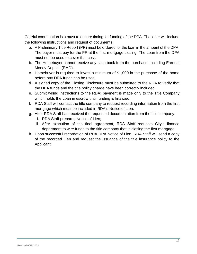Careful coordination is a must to ensure timing for funding of the DPA. The letter will include the following instructions and request of documents:

- a. A Preliminary Title Report (PR) must be ordered for the loan in the amount of the DPA. The buyer must pay for the PR at the first-mortgage closing. The Loan from the DPA must not be used to cover that cost.
- b. The Homebuyer cannot receive any cash back from the purchase, including Earnest Money Deposit (EMD).
- c. Homebuyer is required to invest a minimum of \$1,000 in the purchase of the home before any DPA funds can be used.
- d. A signed copy of the Closing Disclosure must be submitted to the RDA to verify that the DPA funds and the title policy charge have been correctly included.
- e. Submit wiring instructions to the RDA; payment is made only to the Title Company which holds the Loan in escrow until funding is finalized.
- f. RDA Staff will contact the title company to request recording information from the first mortgage which must be included in RDA's Notice of Lien.
- g. After RDA Staff has received the requested documentation from the title company:
	- i. RDA Staff prepares Notice of Lien;
	- ii. After execution of the final agreement, RDA Staff requests City's finance department to wire funds to the title company that is closing the first mortgage;
- h. Upon successful recordation of RDA DPA Notice of Lien, RDA Staff will send a copy of the recorded Lien and request the issuance of the title insurance policy to the Applicant.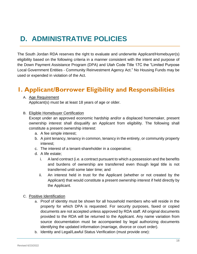# <span id="page-17-0"></span>**D. ADMINISTRATIVE POLICIES**

The South Jordan RDA reserves the right to evaluate and underwrite Applicant/Homebuyer(s) eligibility based on the following criteria in a manner consistent with the intent and purpose of the Down Payment Assistance Program (DPA) and Utah Code Title 17C the "Limited Purpose Local Government Entities - Community Reinvestment Agency Act." No Housing Funds may be used or expended in violation of the Act.

### <span id="page-17-1"></span>**1. Applicant/Borrower Eligibility and Responsibilities**

A. Age Requirement

Applicant(s) must be at least 18 years of age or older.

B. Eligible Homebuyer Certification

Except under an approved economic hardship and/or a displaced homemaker, present ownership interest shall disqualify an Applicant from eligibility. The following shall constitute a present ownership interest:

- a. A fee simple interest;
- b. A joint tenancy, tenancy in common, tenancy in the entirety, or community property interest;
- c. The interest of a tenant-shareholder in a cooperative;
- d. A life estate;
	- i. A land contract (i.e. a contract pursuant to which a possession and the benefits and burdens of ownership are transferred even though legal title is not transferred until some later time; and
	- ii. An interest held in trust for the Applicant (whether or not created by the Applicant) that would constitute a present ownership interest if held directly by the Applicant.
- C. Positive Identification
	- a. Proof of identity must be shown for all household members who will reside in the property for which DPA is requested. For security purposes, faxed or copied documents are not accepted unless approved by RDA staff. All original documents provided to the RDA will be returned to the Applicant. Any name variation from source documentation must be accompanied by legal authorizing documents identifying the updated information (marriage, divorce or court order).
	- b. Identity and Legal/Lawful Status Verification (must provide one):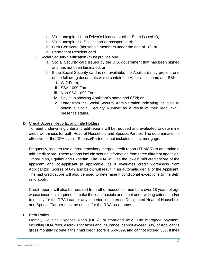- a. Valid unexpired Utah Driver's License or other State issued ID;
- b. Valid unexpired U.S. passport or passport card;
- c. Birth Certificate (household members under the age of 18); or
- d. Permanent Resident card.
- c. Social Security Verification (must provide one):
	- a. Social Security card issued by the U.S. government that has been signed and has not been laminated; or
	- b. If the Social Security card is not available, the Applicant may present one of the following documents which contain the Applicant's name and SSN:
		- i. W-2 Form;
		- ii. SSA-1099 Form;
		- iii. Non SSA-1099 Form;
		- iv. Pay stub showing Applicant's name and SSN; or
		- v. Letter from the Social Security Administration indicating ineligible to obtain a Social Security Number as a result of their legal/lawful presence status.

#### D. Credit Scores, Reports, and Title Holders

To meet underwriting criteria, credit reports will be required and evaluated to determine credit worthiness for both Head of Household and Spouse/Partner. The determination is effective for the DPA even if Spouse/Partner is not included in first mortgage.

Frequently, lenders use a three repository merged credit report (TRMCR) to determine a mid-credit score. These reports include scoring information from three different agencies: TransUnion, Equifax and Experian. The RDA will use the lowest mid credit score of the applicant and co-applicant (if applicable) as it evaluates credit worthiness from Applicant(s). Scores of 649 and below will result in an automatic denial of the Applicant. The mid credit score will also be used to determine if conditional exceptions to the debt ratio apply.

Credit reports will also be required from other household members over 18 years of age whose income is required to make the loan feasible and meet underwriting criteria and/or to qualify for the DPA Loan or any superior lien interest. Designated Head of Household and Spouse/Partner must be on title for the RDA assistance.

#### E. Debt Ratios

Monthly Housing Expense Ratio (HER), or front-end ratio: The mortgage payment, including HOA fees, escrows for taxes and insurance, cannot exceed 33% of Applicant's gross monthly income if their mid credit score is 650-699, and cannot exceed 35% if their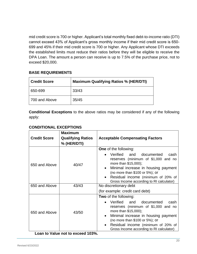mid credit score is 700 or higher. Applicant's total monthly fixed debt-to-income ratio (DTI) cannot exceed 43% of Applicant's gross monthly income if their mid credit score is 650- 699 and 45% if their mid credit score is 700 or higher. Any Applicant whose DTI exceeds the established limits must reduce their ratios before they will be eligible to receive the DPA Loan. The amount a person can receive is up to 7.5% of the purchase price, not to exceed \$20,000.

#### **BASE REQUIREMENTS**

| <b>Credit Score</b> | <b>Maximum Qualifying Ratios % (HER/DTI)</b> |  |  |  |  |
|---------------------|----------------------------------------------|--|--|--|--|
| 650-699             | 33/43                                        |  |  |  |  |
| 700 and Above       | 35/45                                        |  |  |  |  |

**Conditional Exceptions** to the above ratios may be considered if any of the following apply:

#### **CONDITIONAL EXCEPTIONS**

| <b>Credit Score</b> | <b>Maximum</b><br><b>Qualifying Ratios</b><br>% (HER/DTI) | <b>Acceptable Compensating Factors</b>                                                                                                                                                                                                                                                    |  |  |  |
|---------------------|-----------------------------------------------------------|-------------------------------------------------------------------------------------------------------------------------------------------------------------------------------------------------------------------------------------------------------------------------------------------|--|--|--|
| 650 and Above       | 40/47                                                     | <b>One</b> of the following:<br>Verified and documented<br>cash<br>reserves (minimum of \$1,000 and no<br>more than \$15,000);<br>Minimal increase in housing payment<br>(no more than \$100 or 5%); or<br>Residual income (minimum of 20% of<br>Gross Income according to RI calculator) |  |  |  |
| 650 and Above       | 43/43                                                     | No discretionary debt<br>(for example: credit card debt)                                                                                                                                                                                                                                  |  |  |  |
| 650 and Above       | 43/50                                                     | <b>Two</b> of the following:<br>Verified and documented<br>cash<br>reserves (minimum of \$1,000 and no<br>more than \$15,000);<br>Minimal increase in housing payment<br>(no more than \$100 or 5%); or<br>Residual income (minimum of 20% of<br>Gross Income according to RI calculator) |  |  |  |

**Loan to Value not to exceed 103%.**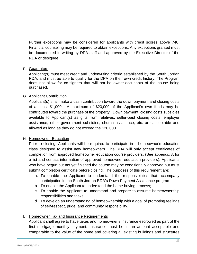Further exceptions may be considered for applicants with credit scores above 740. Financial counseling may be required to obtain exceptions. Any exceptions granted must be documented in writing by DPA staff and approved by the Executive Director of the RDA or designee.

#### F. Guarantors

Applicant(s) must meet credit and underwriting criteria established by the South Jordan RDA, and must be able to qualify for the DPA on their own credit history. The Program does not allow for co-signers that will not be owner-occupants of the house being purchased.

#### G. Applicant Contribution

Applicant(s) shall make a cash contribution toward the down payment and closing costs of at least \$1,000. A maximum of \$20,000 of the Applicant's own funds may be contributed toward the purchase of the property. Down payment, closing costs subsidies available to Applicant(s) as gifts from relatives, seller-paid closing costs, employer assistance, other government subsidies, church assistance, etc. are acceptable and allowed as long as they do not exceed the \$20,000.

#### H. Homeowner Education

Prior to closing, Applicants will be required to participate in a homeowner's education class designed to assist new homeowners. The RDA will only accept certificates of completion from approved homeowner education course providers. (See appendix A for a list and contact information of approved homeowner education providers). Applicants who have begun but not yet finished the course may be conditionally approved but must submit completion certificate before closing. The purposes of this requirement are:

- a. To enable the Applicant to understand the responsibilities that accompany participation in the South Jordan RDA's Down Payment Assistance program;
- b. To enable the Applicant to understand the home buying process;
- c. To enable the Applicant to understand and prepare to assume homeownership responsibilities and tasks;
- d. To develop an understanding of homeownership with a goal of promoting feelings of self-respect, pride, and community responsibility.

#### I. Homeowner Tax and Insurance Requirements

Applicant shall agree to have taxes and homeowner's insurance escrowed as part of the first mortgage monthly payment. Insurance must be in an amount acceptable and comparable to the value of the home and covering all existing buildings and structures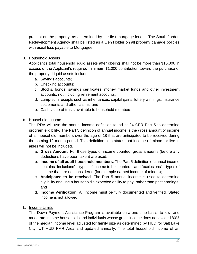present on the property, as determined by the first mortgage lender. The South Jordan Redevelopment Agency shall be listed as a Lien Holder on all property damage policies with usual loss payable to Mortgagee.

#### J. Household Assets

Applicant's total household liquid assets after closing shall not be more than \$15,000 in excess of the Applicant's required minimum \$1,000 contribution toward the purchase of the property. Liquid assets include:

- a. Savings accounts;
- b. Checking accounts;
- c. Stocks, bonds, savings certificates, money market funds and other investment accounts, not including retirement accounts;
- d. Lump-sum receipts such as inheritances, capital gains, lottery winnings, insurance settlements and other claims; and
- e. Cash value of trusts available to household members.

#### K. Household Income

The RDA will use the annual income definition found at 24 CFR Part 5 to determine program eligibility. The Part 5 definition of annual income is the gross amount of income of all household members over the age of 18 that are anticipated to be received during the coming 12-month period. This definition also states that income of minors or live-in aides will not be included.

- a. **Gross Amount**. For those types of income counted, gross amounts (before any deductions have been taken) are used;
- b. **Income of all adult household members**. The Part 5 definition of annual income contains "inclusions"—types of income to be counted—and "exclusions"—types of income that are not considered (for example earned income of minors);
- c. **Anticipated to be received**. The Part 5 annual income is used to determine eligibility and use a household's expected ability to pay, rather than past earnings; and
- d. **Income Verification**. All income must be fully documented and verified. Stated income is not allowed.

#### L. Income Limits

The Down Payment Assistance Program is available on a one-time basis, to low- and moderate-income households and individuals whose gross income does not exceed 80% of the median income level adjusted for family size as determined by HUD for Salt Lake City, UT HUD FMR Area and updated annually. The total household income of an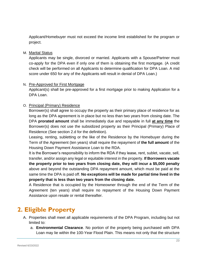Applicant/Homebuyer must not exceed the income limit established for the program or project.

M. Marital Status

Applicants may be single, divorced or married. Applicants with a Spouse/Partner must co-apply for the DPA even if only one of them is obtaining the first mortgage. (A credit check will be performed on all Applicants to determine qualification for DPA Loan. A mid score under 650 for any of the Applicants will result in denial of DPA Loan.)

#### N. Pre-Approved for First Mortgage

Applicant(s) shall be pre-approved for a first mortgage prior to making Application for a DPA Loan.

#### O. Principal (Primary) Residence

Borrower(s) shall agree to occupy the property as their primary place of residence for as long as the DPA agreement is in place but no less than two years from closing date. The DPA **prorated amount** shall be immediately due and repayable in full **at any time** the Borrower(s) does not use the subsidized property as their Principal (Primary) Place of Residence (See section 2.d for the definition).

Leasing, renting, subletting or the like of the Residence by the Homebuyer during the Term of the Agreement (ten years) shall require the repayment of **the full amount** of the Housing Down Payment Assistance Loan to the RDA.

It is the Borrower's responsibility to inform the RDA if they lease, rent, sublet, vacate, sell, transfer, and/or assign any legal or equitable interest in the property. **If Borrowers vacate the property prior to two years from closing date, they will incur a \$5,000 penalty** above and beyond the outstanding DPA repayment amount, which must be paid at the same time the DPA is paid off. **No exceptions will be made for partial time lived in the property that is less than two years from the closing date.**

A Residence that is occupied by the Homeowner through the end of the Term of the Agreement (ten years) shall require no repayment of the Housing Down Payment Assistance upon resale or rental thereafter.

### <span id="page-22-0"></span>**2. Eligible Property**

- A. Properties shall meet all applicable requirements of the DPA Program, including but not limited to:
	- a. **Environmental Clearance**. No portion of the property being purchased with DPA Loan may lie within the 100-Year Flood Plain. This means not only that the structure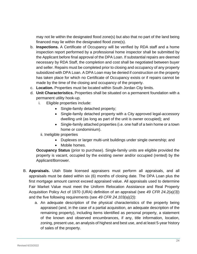may not lie within the designated flood zone(s) but also that no part of the land being financed may lie within the designated flood zone(s).

- b. **Inspections.** A Certificate of Occupancy will be verified by RDA staff and a home inspection report performed by a professional home inspector shall be submitted by the Applicant before final approval of the DPA Loan. If substantial repairs are deemed necessary by RDA Staff, the completion and cost shall be negotiated between buyer and seller. Repairs must be completed prior to closing and occupancy of any property subsidized with DPA Loan. A DPA Loan may be denied if construction on the property has taken place for which no Certificate of Occupancy exists or if repairs cannot be made by the time of the closing and occupancy of the property.
- c. **Location.** Properties must be located within South Jordan City limits.
- d. **Unit Characteristics.** Properties shall be situated on a permanent foundation with a permanent utility hook-up.
	- i. Eligible properties include:
		- Single-family detached property;
		- Single-family detached property with a City approved legal-accessory dwelling unit (as long as part of the unit is owner occupied); and
		- Single-family attached properties (i.e. one half of a twin home or a town home or condominium).
		- ii. Ineligible properties
			- Duplexes or larger multi-unit buildings under single ownership; and
			- Mobile homes.

**Occupancy Status** (prior to purchase). Single-family units are eligible provided the property is vacant, occupied by the existing owner and/or occupied (rented) by the Applicant/Borrower.

- B. **Appraisals.** Utah State licensed appraisers must perform all appraisals, and all appraisals must be dated within six (6) months of closing date. The DPA Loan plus the first mortgage amount cannot exceed appraised value. All appraisals used to determine Fair Market Value must meet the Uniform Relocation Assistance and Real Property Acquisition Policy Act of 1970 (URA) definition of an appraisal (see *49 CFR 24.2(a)(3)*) and the five following requirements (see *49 CFR 24.103(a)(2)*):
	- a. An adequate description of the physical characteristics of the property being appraised (and, in the case of a partial acquisition, an adequate description of the remaining property), including items identified as personal property, a statement of the known and observed encumbrances, if any, title information, location, zoning, present use, an analysis of highest and best use, and at least 5-year history of sales of the property.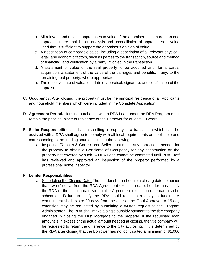- b. All relevant and reliable approaches to value. If the appraiser uses more than one approach, there shall be an analysis and reconciliation of approaches to value used that is sufficient to support the appraiser's opinion of value.
- c. A description of comparable sales, including a description of all relevant physical, legal, and economic factors, such as parties to the transaction, source and method of financing, and verification by a party involved in the transaction.
- d. A statement of value of the real property to be acquired and, for a partial acquisition, a statement of the value of the damages and benefits, if any, to the remaining real property, where appropriate.
- e. The effective date of valuation, date of appraisal, signature, and certification of the appraiser.
- C. **Occupancy.** After closing, the property must be the principal residence of all Applicants and household members which were included in the Complete Application.
- D. **Agreement Period.** Housing purchased with a DPA Loan under the DPA Program must remain the principal place of residence of the Borrower for at least 10 years.
- E. **Seller Responsibilities.** Individuals selling a property in a transaction which is to be assisted with a DPA shall agree to comply with all local requirements as applicable and corresponding to the funding source including the following:
	- a. Inspection/Repairs & Corrections. Seller must make any corrections needed for the property to obtain a Certificate of Occupancy for any construction on the property not covered by such. A DPA Loan cannot be committed until RDA Staff has reviewed and approved an inspection of the property performed by a professional home inspector.

#### F. **Lender Responsibilities.**

a. Scheduling the Closing Date. The Lender shall schedule a closing date no earlier than two (2) days from the RDA Agreement execution date. Lender must notify the RDA of the closing date so that the Agreement execution date can also be scheduled. Failure to notify the RDA could result in a delay in funding. A commitment shall expire 90 days from the date of the Final Approval. A 15-day extension may be requested by submitting a written request to the Program Administrator. The RDA shall make a single subsidy payment to the title company engaged in closing the First Mortgage to the property. If the requested loan amount is in excess of the actual amount needed at closing, the title company will be requested to return the difference to the City at closing. If it is determined by the RDA after closing that the Borrower has not contributed a minimum of \$1,000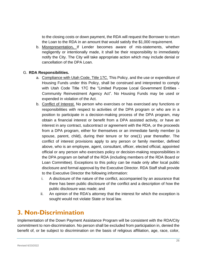to the closing costs or down payment, the RDA will request the Borrower to return the Loan to the RDA in an amount that would satisfy the \$1,000 requirement.

b. Misrepresentation**.** If Lender becomes aware of mis-statements, whether negligently or intentionally made, it shall be their responsibility to immediately notify the City. The City will take appropriate action which may include denial or cancellation of the DPA Loan.

#### G. **RDA Responsibilities.**

- a. Compliance with Utah Code, Title 17C. This Policy, and the use or expenditure of Housing Funds under this Policy, shall be construed and interpreted to comply with Utah Code Title 17C the "Limited Purpose Local Government Entities - Community Reinvestment Agency Act". No Housing Funds may be used or expended in violation of the Act.
- b. Conflict of Interest. No person who exercises or has exercised any functions or responsibilities with respect to activities of the DPA program or who are in a position to participate in a decision-making process of the DPA program, may obtain a financial interest or benefit from a DPA assisted activity, or have an interest in any contract, subcontract or agreement with the RDA, or the proceeds from a DPA program, either for themselves or an immediate family member (a spouse, parent, child), during their tenure or for one(1) year thereafter. The conflict of interest provisions apply to any person or family member, defined above, who is an employee, agent, consultant, officer, elected official, appointed official or any person who exercises policy or decision-making responsibilities in the DPA program on behalf of the RDA (including members of the RDA Board or Loan Committee). Exceptions to this policy can be made only after local public disclosure and formal approval by the Executive Director. RDA Staff shall provide to the Executive Director the following information:
	- i. A disclosure of the nature of the conflict, accompanied by an assurance that there has been public disclosure of the conflict and a description of how the public disclosure was made; and
	- ii. An opinion of the RDA's attorney that the interest for which the exception is sought would not violate State or local law.

#### <span id="page-25-0"></span>**3. Non-Discrimination**

Implementation of the Down Payment Assistance Program will be consistent with the RDA/City commitment to non-discrimination. No person shall be excluded from participation in, denied the benefit of, or be subject to discrimination on the basis of religious affiliation, age, race, color,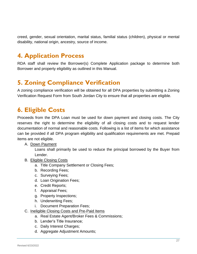creed, gender, sexual orientation, marital status, familial status (children), physical or mental disability, national origin, ancestry, source of income.

### <span id="page-26-0"></span>**4. Application Process**

RDA staff shall review the Borrower(s) Complete Application package to determine both Borrower and property eligibility as outlined in this Manual.

### <span id="page-26-1"></span>**5. Zoning Compliance Verification**

A zoning compliance verification will be obtained for all DPA properties by submitting a Zoning Verification Request Form from South Jordan City to ensure that all properties are eligible.

### <span id="page-26-2"></span>**6. Eligible Costs**

Proceeds from the DPA Loan must be used for down payment and closing costs. The City reserves the right to determine the eligibility of all closing costs and to request lender documentation of normal and reasonable costs. Following is a list of items for which assistance can be provided if all DPA program eligibility and qualification requirements are met. Prepaid items are not eligible.

#### A. Down Payment

Loans shall primarily be used to reduce the principal borrowed by the Buyer from Lender.

- B. Eligible Closing Costs
	- a. Title Company Settlement or Closing Fees;
	- b. Recording Fees;
	- c. Surveying Fees;
	- d. Loan Origination Fees;
	- e. Credit Reports;
	- f. Appraisal Fees;
	- g. Property Inspections;
	- h. Underwriting Fees;
	- i. Document Preparation Fees;
- C. Ineligible Closing Costs and Pre-Paid Items
	- a. Real Estate Agent/Broker Fees & Commissions;
	- b. Lender's Title Insurance;
	- c. Daily Interest Charges;
	- d. Aggregate Adjustment Amounts;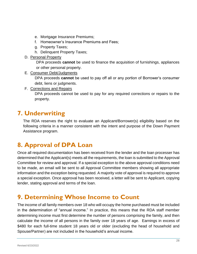- e. Mortgage Insurance Premiums;
- f. Homeowner's Insurance Premiums and Fees;
- g. Property Taxes;
- h. Delinquent Property Taxes;
- D. Personal Property

DPA proceeds **cannot** be used to finance the acquisition of furnishings, appliances or other personal property.

E. Consumer Debt/Judgments

DPA proceeds **cannot** be used to pay off all or any portion of Borrower's consumer debt, liens or judgments.

F. Corrections and Repairs

DPA proceeds cannot be used to pay for any required corrections or repairs to the property.

#### <span id="page-27-0"></span>**7. Underwriting**

The RDA reserves the right to evaluate an Applicant/Borrower(s) eligibility based on the following criteria in a manner consistent with the intent and purpose of the Down Payment Assistance program.

### <span id="page-27-1"></span>**8. Approval of DPA Loan**

Once all required documentation has been received from the lender and the loan processer has determined that the Applicant(s) meets all the requirements, the loan is submitted to the Approval Committee for review and approval. If a special exception to the above approval conditions need to be made, an email will be sent to all Approval Committee members showing all appropriate information and the exception being requested. A majority vote of approval is required to approve a special exception. Once approval has been received, a letter will be sent to Applicant, copying lender, stating approval and terms of the loan.

#### <span id="page-27-2"></span>**9. Determining Whose Income to Count**

The income of all family members over 18 who will occupy the home purchased must be included in the determination of "annual income." In practice, this means that the RDA staff member determining income must first determine the number of persons comprising the family, and then calculate the income of all persons in the family over 18 years of age. Earnings in excess of \$480 for each full-time student 18 years old or older (excluding the head of household and Spouse/Partner) are not included in the household's annual income.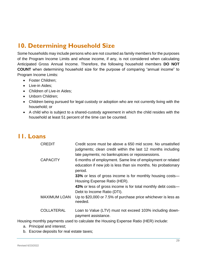### <span id="page-28-0"></span>**10. Determining Household Size**

Some households may include persons who are not counted as family members for the purposes of the Program Income Limits and whose income, if any, is not considered when calculating Anticipated Gross Annual Income. Therefore, the following household members **DO NOT COUNT** when determining household size for the purpose of comparing "annual income" to Program Income Limits:

- Foster Children:
- Live-in Aides;
- Children of Live-in Aides:
- Unborn Children:
- Children being pursued for legal custody or adoption who are not currently living with the household; or
- A child who is subject to a shared-custody agreement in which the child resides with the household at least 51 percent of the time can be counted.

#### <span id="page-28-1"></span>**11. Loans**

| <b>CREDIT</b>       | Credit score must be above a 650 mid score. No unsatisfied<br>judgments; clean credit within the last 12 months including<br>late payments; no bankruptcies or repossessions. |
|---------------------|-------------------------------------------------------------------------------------------------------------------------------------------------------------------------------|
| <b>CAPACITY</b>     | 6 months of employment. Same line of employment or related<br>education if new job is less than six months. No probationary<br>period.                                        |
|                     | 33% or less of gross income is for monthly housing costs—<br>Housing Expense Ratio (HER).                                                                                     |
|                     | 43% or less of gross income is for total monthly debt costs—<br>Debt to Income Ratio (DTI).                                                                                   |
| <b>MAXIMUM LOAN</b> | Up to \$20,000 or 7.5% of purchase price whichever is less as<br>needed.                                                                                                      |
| <b>COLLATERAL</b>   | Loan to Value (LTV) must not exceed 103% including down-<br>payment assistance.                                                                                               |

Housing monthly payments used to calculate the Housing Expense Ratio (HER) include:

- a. Principal and interest;
- b. Escrow deposits for real estate taxes;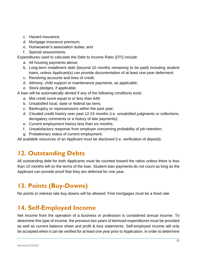- c. Hazard insurance;
- d. Mortgage insurance premium;
- e. Homeowner's association duties; and
- f. Special assessments.

Expenditures used to calculate the Debt to Income Ratio (DTI) include:

- a. All housing payments above;
- b. Long-term installment debt (beyond 10 months remaining to be paid) including student loans, unless Applicant(s) can provide documentation of at least one-year deferment;
- c. Revolving accounts and lines of credit;
- d. Alimony, child support or maintenance payments, as applicable;
- e. Stock pledges, if applicable.

A loan will be automatically denied if any of the following conditions exist:

- a. Mid credit score equal to or less than 649;
- b. Unsatisfied local, state or federal tax liens;
- c. Bankruptcy or repossessions within the past year;
- d. Clouded credit history over past 12-24 months (i.e. unsatisfied judgments or collections, derogatory comments or a history of late payments);
- e. Current employment history less than six months;
- f. Unsatisfactory response from employer concerning probability of job retention;
- g. Probationary status of current employment.

All available resources of an Applicant must be disclosed (i.e. verification of deposit).

#### <span id="page-29-0"></span>**12. Outstanding Debts**

All outstanding debt for both Applicants must be counted toward the ratios unless there is less than 10 months left on the terms of the loan. Student loan payments do not count as long as the Applicant can provide proof that they are deferred for one year.

### <span id="page-29-1"></span>**13. Points (Buy-Downs)**

No points or interest rate buy-downs will be allowed. First mortgages must be a fixed rate.

### <span id="page-29-2"></span>**14. Self-Employed Income**

Net Income from the operation of a business or profession is considered annual income. To determine this type of income, the previous two years of itemized expenditures must be provided as well as current balance sheet and profit & loss statements. Self-employed income will only be accepted when it can be verified for at least one year prior to Application. In order to determine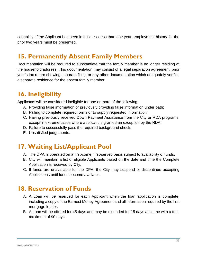capability, if the Applicant has been in business less than one year, employment history for the prior two years must be presented.

### <span id="page-30-0"></span>**15. Permanently Absent Family Members**

Documentation will be required to substantiate that the family member is no longer residing at the household address. This documentation may consist of a legal separation agreement, prior year's tax return showing separate filing, or any other documentation which adequately verifies a separate residence for the absent family member.

#### <span id="page-30-1"></span>**16. Ineligibility**

Applicants will be considered ineligible for one or more of the following:

- A. Providing false information or previously providing false information under oath;
- B. Failing to complete required forms or to supply requested information;
- C. Having previously received Down Payment Assistance from the City or RDA programs, except in extreme cases where applicant is granted an exception by the RDA;
- D. Failure to successfully pass the required background check;
- E. Unsatisfied judgements.

#### <span id="page-30-2"></span>**17. Waiting List/Applicant Pool**

- A. The DPA is operated on a first-come, first-served basis subject to availability of funds.
- B. City will maintain a list of eligible Applicants based on the date and time the Complete Application is received by City.
- C. If funds are unavailable for the DPA, the City may suspend or discontinue accepting Applications until funds become available.

#### <span id="page-30-3"></span>**18. Reservation of Funds**

- A. A Loan will be reserved for each Applicant when the loan application is complete, including a copy of the Earnest Money Agreement and all information required by the first mortgage lender.
- B. A Loan will be offered for 45 days and may be extended for 15 days at a time with a total maximum of 90 days.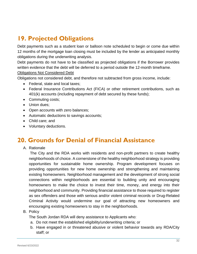## <span id="page-31-0"></span>**19. Projected Obligations**

Debt payments such as a student loan or balloon note scheduled to begin or come due within 12 months of the mortgage loan closing must be included by the lender as anticipated monthly obligations during the underwriting analysis.

Debt payments do not have to be classified as projected obligations if the Borrower provides written evidence that the debt will be deferred to a period outside the 12-month timeframe. Obligations Not Considered Debt

Obligations not considered debt, and therefore not subtracted from gross income, include:

- Federal, state and local taxes:
- Federal Insurance Contributions Act (FICA) or other retirement contributions, such as 401(k) accounts (including repayment of debt secured by these funds);
- Commuting costs;
- Union dues;
- Open accounts with zero balances;
- Automatic deductions to savings accounts;
- Child care; and
- Voluntary deductions.

#### <span id="page-31-1"></span>**20. Grounds for Denial of Financial Assistance**

A. Rationale

The City and the RDA works with residents and non-profit partners to create healthy neighborhoods of choice. A cornerstone of the healthy neighborhood strategy is providing opportunities for sustainable home ownership. Program development focuses on providing opportunities for new home ownership and strengthening and maintaining existing homeowners. Neighborhood management and the development of strong social connections within neighborhoods are essential to building unity and encouraging homeowners to make the choice to invest their time, money, and energy into their neighborhood and community. Providing financial assistance to those required to register as sex offenders and those with serious and/or violent criminal records or Drug-Related Criminal Activity would undermine our goal of attracting new homeowners and encouraging existing homeowners to stay in the neighborhoods.

#### B. Policy

The South Jordan RDA will deny assistance to Applicants who:

- a. Do not meet the established eligibility/underwriting criteria; or
- b. Have engaged in or threatened abusive or violent behavior towards any RDA/City staff; or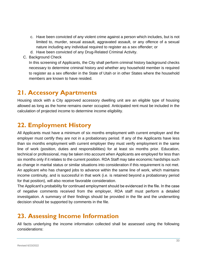- c. Have been convicted of any violent crime against a person which includes, but is not limited to, murder, sexual assault, aggravated assault, or any offence of a sexual nature including any individual required to register as a sex offender; or
- d. Have been convicted of any Drug-Related Criminal Activity.
- C. Background Check

In this screening of Applicants, the City shall perform criminal history background checks necessary to determine criminal history and whether any household member is required to register as a sex offender in the State of Utah or in other States where the household members are known to have resided.

#### <span id="page-32-0"></span>**21. Accessory Apartments**

Housing stock with a City approved accessory dwelling unit are an eligible type of housing allowed as long as the home remains owner occupied. Anticipated rent must be included in the calculation of projected income to determine income eligibility.

### <span id="page-32-1"></span>**22. Employment History**

All Applicants must have a minimum of six months employment with current employer and the employer must certify they are not in a probationary period. If any of the Applicants have less than six months employment with current employer they must verify employment in the same line of work (position, duties and responsibilities) for at least six months prior. Education, technical or professional, may be taken into account when Applicants are employed for less than six months only if it relates to the current position. RDA Staff may take economic hardships such as change in marital status or similar situations into consideration if this requirement is not met. An applicant who has changed jobs to advance within the same line of work, which maintains income continuity, and is successful in that work (i.e. is retained beyond a probationary period for that position), will also receive favorable consideration.

The Applicant's probability for continued employment should be evidenced in the file. In the case of negative comments received from the employer, RDA staff must perform a detailed investigation. A summary of their findings should be provided in the file and the underwriting decision should be supported by comments in the file.

#### <span id="page-32-2"></span>**23. Assessing Income Information**

All facts underlying the income information collected shall be assessed using the following considerations: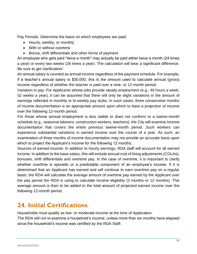Pay Periods. Determine the basis on which employees are paid:

- Hourly, weekly, or monthly
- With or without overtime
- Bonus, shift differentials and other forms of payment

An employee who gets paid "twice a month" may actually be paid either twice a month (24 times a year) or every two weeks (26 times a year). The calculation will bear a significant difference. Be sure to get clarification!

An annual salary is counted as annual income regardless of the payment schedule. For example, if a teacher's annual salary is \$30,000, this is the amount used to calculate annual (gross) income regardless of whether the teacher is paid over a nine- or 12-month period.

Variation in pay: For Applicants whose jobs provide steady employment (e.g., 40 hours a week, 52 weeks a year), it can be assumed that there will only be slight variations in the amount of earnings reflected in monthly or bi-weekly pay stubs. In such cases, three consecutive months of income documentation is an appropriate amount upon which to base a projection of income over the following 12-month period.

For those whose annual employment is less stable or does not conform to a twelve-month schedule (e.g., seasonal laborers, construction workers, teachers), the City will examine income documentation that covers the entire previous twelve-month period. Such workers can experience substantial variations in earned income over the course of a year. As such, an examination of three months of income documentation may not provide an accurate basis upon which to project the Applicant's income for the following 12 months.

Sources of earned income: In addition to hourly earnings, RDA staff will account for all earned income. In addition to the base salary, this will include annual cost of living adjustments (COLAs), bonuses, shift differentials and overtime pay. In the case of overtime, it is important to clarify whether overtime is sporadic or a predictable component of an employee's income. If it is determined that an Applicant has earned and will continue to earn overtime pay on a regular basis, the RDA will calculate the average amount of overtime pay earned by the Applicant over the pay period the RDA is using to calculate income eligibility (3 months or 12 months). This average amount is then to be added to the total amount of projected earned income over the following 12-month period.

### <span id="page-33-0"></span>**24. Initial Certifications**

Households must qualify as low- or moderate-income at the time of Application.

The RDA will not re-examine a household's income, unless more than six months have elapsed since the household's income was certified by the RDA Staff.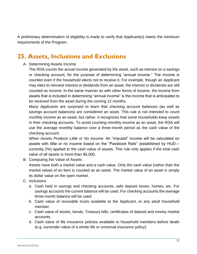A preliminary determination of eligibility is made to verify that Applicant(s) meets the minimum requirements of the Program.

### <span id="page-34-0"></span>**25. Assets, Inclusions and Exclusions**

#### A. Determining Assets Income

The RDA counts the actual income generated by the asset, such as interest on a savings or checking account, for the purpose of determining "annual income." The income is counted even if the household elects not to receive it. For example, though an Applicant may elect to reinvest interest or dividends from an asset, the interest or dividends are still counted as income. In the same manner as with other forms of income, the income from assets that is included in determining "annual income" is the income that is anticipated to be received from the asset during the coming 12 months.

Many Applicants are surprised to learn that checking account balances (as well as savings account balances) are considered an asset. This rule is not intended to count monthly income as an asset, but rather, it recognizes that some households keep assets in their checking accounts. To avoid counting monthly income as an asset, the RDA will use the average monthly balance over a three-month period as the cash value of the checking account.

*When Assets Produce Little or No Income:* An "imputed" income will be calculated on assets with little or no income based on the "Passbook Rate" (established by HUD currently 2%) applied to the cash value of assets. This rule only applies if the total cash value of all assets is more than \$5,000.

B. Computing the Value of Assets

Assets have both a market value and a cash value. Only the cash value (rather than the market value) of an item is counted as an asset. The market value of an asset is simply its dollar value on the open market.

- C. Inclusions
	- a. Cash held in savings and checking accounts, safe deposit boxes, homes, etc. For savings accounts the current balance will be used. For checking accounts the average three-month balance will be used.
	- b. Cash value of revocable trusts available to the Applicant, or any adult household member.
	- c. Cash value of stocks, bonds, Treasury bills, certificates of deposit and money market accounts.
	- d. Cash value of life insurance policies available to household members before death (e.g. surrender value of a whole life or universal insurance policy).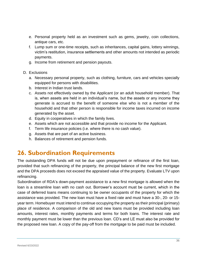- e. Personal property held as an investment such as gems, jewelry, coin collections, antique cars, etc.
- f. Lump sum or one-time receipts, such as inheritances, capital gains, lottery winnings, victim's restitution, insurance settlements and other amounts not intended as periodic payments.
- g. Income from retirement and pension payouts.
- D. Exclusions
	- a. Necessary personal property, such as clothing, furniture, cars and vehicles specially equipped for persons with disabilities.
	- b. Interest in Indian trust lands.
	- c. Assets not effectively owned by the Applicant (or an adult household member). That is, when assets are held in an individual's name, but the assets or any income they generate is accrued to the benefit of someone else who is not a member of the household and that other person is responsible for income taxes incurred on income generated by the asset.
	- d. Equity in cooperatives in which the family lives.
	- e. Assets which are not accessible and that provide no income for the Applicant.
	- f. Term life insurance policies (i.e. where there is no cash value).
	- g. Assets that are part of an active business.
	- h. Balances of retirement and pension funds.

#### <span id="page-35-0"></span>**26. Subordination Requirements**

The outstanding DPA funds will not be due upon prepayment or refinance of the first loan, provided that such refinancing of the property, the principal balance of the new first mortgage and the DPA proceeds does not exceed the appraised value of the property. Evaluate LTV upon refinancing.

Subordination of RDA's down-payment assistance to a new first mortgage is allowed when the loan is a streamline loan with no cash out. Borrower's account must be current, which in the case of deferred loans means continuing to be owner occupants of the property for which the assistance was provided. The new loan must have a fixed rate and must have a 30-, 20- or 15 year term. Homebuyer must intend to continue occupying the property as their principal (primary) place of residence. A comparison of the old and new loans must be provided including loan amounts, interest rates, monthly payments and terms for both loans. The interest rate and monthly payment must be lower than the previous loan. CD's and LE must also be provided for the proposed new loan. A copy of the pay-off from the mortgage to be paid must be included.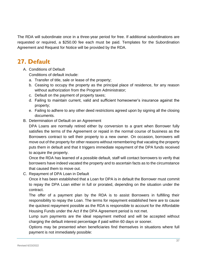The RDA will subordinate once in a three-year period for free. If additional subordinations are requested or required, a \$250.00 fee each must be paid. Templates for the Subordination Agreement and Request for Notice will be provided by the RDA.

### <span id="page-36-0"></span>**27. Default**

A. Conditions of Default

Conditions of default include:

- a. Transfer of title, sale or lease of the property;
- b. Ceasing to occupy the property as the principal place of residence, for any reason without authorization from the Program Administrator;
- c. Default on the payment of property taxes;
- d. Failing to maintain current, valid and sufficient homeowner's insurance against the property;
- e. Failing to adhere to any other deed restrictions agreed upon by signing all the closing documents.
- B. Determination of Default on an Agreement

DPA Loans are normally retired either by conversion to a grant when Borrower fully satisfies the terms of the Agreement or repaid in the normal course of business as the Borrowers contract to sell their property to a new owner. On occasion, borrowers will move out of the property for other reasons without remembering that vacating the property puts them in default and that it triggers immediate repayment of the DPA funds received to acquire the property.

Once the RDA has learned of a possible default, staff will contact borrowers to verify that borrowers have indeed vacated the property and to ascertain facts as to the circumstance that caused them to move out.

C. Repayment of DPA Loan in Default

Once it has been established that a Loan for DPA is in default the Borrower must commit to repay the DPA Loan either in full or prorated, depending on the situation under the contract.

The offer of a payment plan by the RDA is to assist Borrowers in fulfilling their responsibility to repay the Loan. The terms for repayment established here are to cause the quickest repayment possible as the RDA is responsible to account for the Affordable Housing Funds under the Act if the DPA Agreement period is not met.

Lump sum payments are the ideal repayment method and will be accepted without charging the default interest percentage if paid within 60 days or sooner.

Options may be presented when beneficiaries find themselves in situations where full payment is not immediately possible: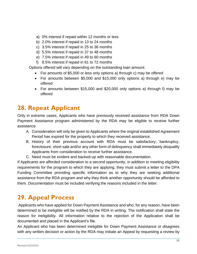- a) 0% interest if repaid within 12 months or less
- b) 2.0% interest if repaid in 13 to 24 months
- c) 3.5% interest if repaid in 25 to 36 months
- d) 5.5% interest if repaid in 37 to 48 months
- e) 7.5% interest if repaid in 49 to 60 months
- f) 8.5% interest if repaid in 61 to 72 months

Options offered will vary depending on the outstanding loan amount.

- For amounts of \$5,000 or less only options a) through c) may be offered
- For amounts between \$5,000 and \$15,000 only options a) through e) may be offered
- For amounts between \$15,000 and \$20,000 only options a) through f) may be offered

### <span id="page-37-0"></span>**28. Repeat Applicant**

Only in extreme cases, Applicants who have previously received assistance from RDA Down Payment Assistance program administered by the RDA may be eligible to receive further assistance.

- A. Consideration will only be given to Applicants where the original established Agreement Period has expired for the property to which they received assistance.
- B. History of their previous account with RDA must be satisfactory; bankruptcy, foreclosure, short sale and/or any other form of delinquency shall immediately disqualify Applicants from consideration to receive further assistance.
- C. Need must be evident and backed-up with reasonable documentation.

If Applicants are afforded consideration to a second opportunity, in addition to meeting eligibility requirements for the program to which they are applying, they must submit a letter to the DPA Funding Committee providing specific information as to why they are seeking additional assistance from the RDA program and why they think another opportunity should be afforded to them. Documentation must be included verifying the reasons included in the letter.

#### <span id="page-37-1"></span>**29. Appeal Process**

Applicants who have applied for Down Payment Assistance and who, for any reason, have been determined to be ineligible will be notified by the RDA in writing. The notification shall state the reason for ineligibility. All information relative to the rejection of the Application shall be documented and placed in the Applicant's file.

An Applicant who has been determined ineligible for Down Payment Assistance or disagrees with any written decision or action by the RDA may initiate an Appeal by requesting a review by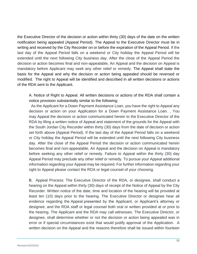the Executive Director of the decision or action within thirty (30) days of the date on the written notification being appealed (Appeal Period). The Appeal to the Executive Director must be in writing and received by the City Recorder on or before the expiration of the Appeal Period. If the last day of the Appeal Period falls on a weekend or City holiday the Appeal Period will be extended until the next following City business day. After the close of the Appeal Period the decision or action becomes final and non-appealable, An Appeal and the decision on Appeal is mandatory before Applicant may seek any other relief or remedy. The Appeal shall state the basis for the Appeal and why the decision or action being appealed should be reversed or modified. The right to Appeal will be identified and described in all written decisions or actions of the RDA sent to the Applicant.

A. Notice of Right to Appeal. All written decisions or actions of the RDA shall contain a notice provision substantially similar to the following:

As the Applicant for a Down Payment Assistance Loan, you have the right to Appeal any decision or action on your Application for a Down Payment Assistance Loan. , You may Appeal the decision or action communicated herein to the Executive Director of the RDA by filing a written notice of Appeal and statement of the grounds for the Appeal with the South Jordan City Recorder within thirty (30) days from the date of decision or action set forth above (Appeal Period). If the last day of the Appeal Period falls on a weekend or City holiday the Appeal Period will be extended until the next following City business day. After the close of the Appeal Period the decision or action communicated herein becomes final and non-appealable, An Appeal and the decision on Appeal is mandatory before seeking any other relief or remedy. Failure to Appeal within the thirty (30) day Appeal Period may preclude any other relief or remedy. To pursue your Appeal additional information regarding your Appeal may be required. For further information regarding your right to Appeal please contact the RDA or legal counsel of your choosing.

B. Appeal Process: The Executive Director of the RDA, or designee, shall conduct a hearing on the Appeal within thirty (30) days of receipt of the Notice of Appeal by the City Recorder. Written notice of the date, time and location of the hearing will be provided at least ten (10) days prior to the hearing. The Executive Director or designee hear all evidence regarding the Appeal presented by the Applicant, or Applicant's attorney or designee, and the RDA staff or legal counsel both oral or written provided at or prior to the hearing. The Applicant and the RDA may call witnesses. The Executive Director, or designee, shall determine whether or not the decision or action being appealed was in error or if special circumstances exist that would justify approval of the Application. A written decision on the Appeal and the reasons therefore shall be issued within fourteen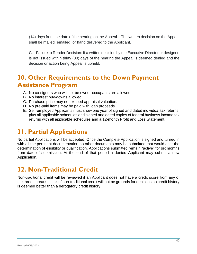(14) days from the date of the hearing on the Appeal. . The written decision on the Appeal shall be mailed, emailed, or hand delivered to the Applicant.

C. Failure to Render Decision: If a written decision by the Executive Director or designee is not issued within thirty (30) days of the hearing the Appeal is deemed denied and the decision or action being Appeal is upheld.

### <span id="page-39-0"></span>**30. Other Requirements to the Down Payment Assistance Program**

- A. No co-signers who will not be owner-occupants are allowed.
- B. No interest buy-downs allowed.
- C. Purchase price may not exceed appraisal valuation.
- D. No pre-paid items may be paid with loan proceeds.
- E. Self-employed Applicants must show one year of signed and dated individual tax returns, plus all applicable schedules and signed and dated copies of federal business income tax returns with all applicable schedules and a 12-month Profit and Loss Statement.

#### <span id="page-39-1"></span>**31. Partial Applications**

No partial Applications will be accepted. Once the Complete Application is signed and turned in with all the pertinent documentation no other documents may be submitted that would alter the determination of eligibility or qualification. Applications submitted remain "active" for six months from date of submission. At the end of that period a denied Applicant may submit a new Application.

### <span id="page-39-2"></span>**32. Non-Traditional Credit**

Non-traditional credit will be reviewed if an Applicant does not have a credit score from any of the three bureaus. Lack of non-traditional credit will not be grounds for denial as no credit history is deemed better than a derogatory credit history.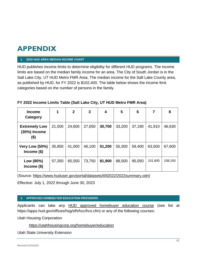# <span id="page-40-0"></span>**APPENDIX**

#### **1. 2020 HUD AREA MEDIAN INCOME CHART**

HUD publishes income limits to determine eligibility for different HUD programs. The income limits are based on the median family income for an area. The City of South Jordan is in the Salt Lake City, UT HUD Metro FMR Area. The median income for the Salt Lake County area, as published by HUD, for FY 2022 is \$102,400. The table below shows the income limit categories based on the number of persons in the family.

#### **FY 2022 Income Limits Table (Salt Lake City, UT HUD Metro FMR Area)**

| <b>Income</b><br>Category                    | 1      | $\mathbf{2}$ | 3      | 4      | 5      | 6      | 7       | 8       |
|----------------------------------------------|--------|--------------|--------|--------|--------|--------|---------|---------|
| <b>Extremely Low</b><br>(30%) Income<br>(\$) | 21,500 | 24,600       | 27,650 | 30,700 | 33,200 | 37,190 | 41,910  | 46,630  |
| Very Low (50%)<br>Income $($)$               | 35,850 | 41,000       | 46,100 | 51,200 | 55,300 | 59,400 | 63,500  | 67,600  |
| Low (80%)<br>Income $($)$                    | 57,350 | 65,550       | 73,750 | 81,900 | 88,500 | 95,050 | 101,600 | 108,150 |

(Source: [https://www.huduser.gov/portal/datasets/il/il2022/2022summary.odn\)](https://www.huduser.gov/portal/datasets/il/il2022/2022summary.odn)

Effective: July 1, 2022 through June 30, 2023

#### **2. APPROVED HOMEBUYER EDUCATION PROVIDERS**

Applicants can take any [HUD approved homebuyer education course](https://apps.hud.gov/offices/hsg/sfh/hcc/hcs.cfm?webListAction=search&searchstate=UT) (see list at https://apps.hud.gov/offices/hsg/sfh/hcc/hcs.cfm) or any of the following courses:

Utah Housing Corporation

<https://utahhousingcorp.org/homebuyer/education>

Utah State University Extension